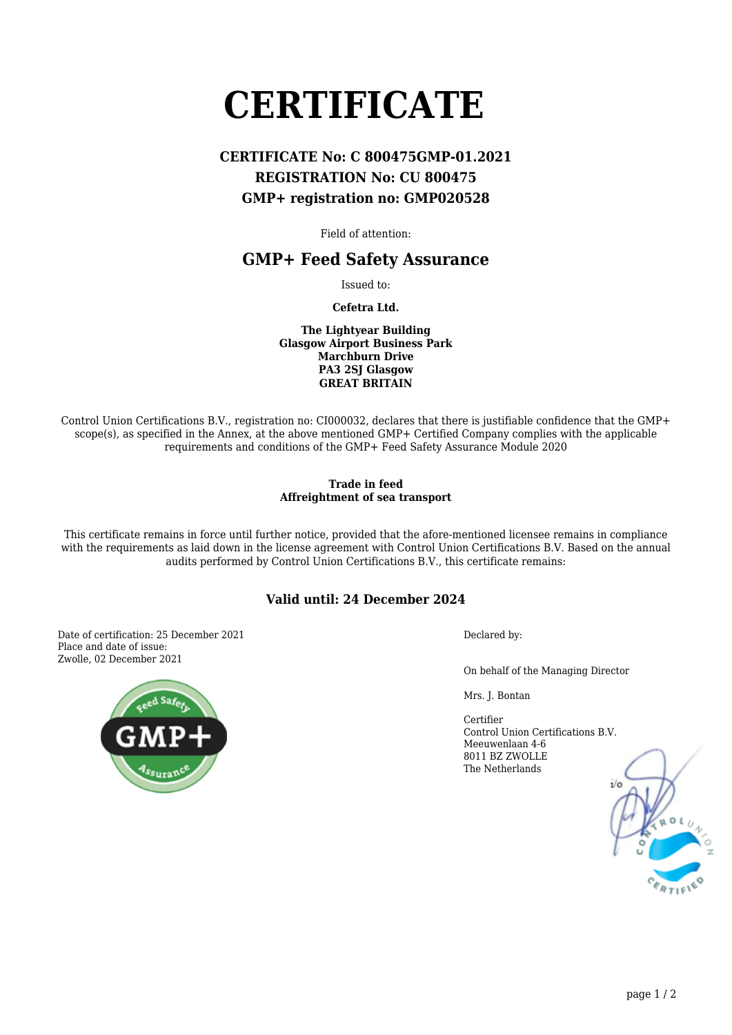# **CERTIFICATE**

## **CERTIFICATE No: C 800475GMP-01.2021 REGISTRATION No: CU 800475 GMP+ registration no: GMP020528**

Field of attention:

## **GMP+ Feed Safety Assurance**

Issued to:

**Cefetra Ltd.**

**The Lightyear Building Glasgow Airport Business Park Marchburn Drive PA3 2SJ Glasgow GREAT BRITAIN**

Control Union Certifications B.V., registration no: CI000032, declares that there is justifiable confidence that the GMP+ scope(s), as specified in the Annex, at the above mentioned GMP+ Certified Company complies with the applicable requirements and conditions of the GMP+ Feed Safety Assurance Module 2020

#### **Trade in feed Affreightment of sea transport**

This certificate remains in force until further notice, provided that the afore-mentioned licensee remains in compliance with the requirements as laid down in the license agreement with Control Union Certifications B.V. Based on the annual audits performed by Control Union Certifications B.V., this certificate remains:

### **Valid until: 24 December 2024**

Date of certification: 25 December 2021 Place and date of issue: Zwolle, 02 December 2021



Declared by:

On behalf of the Managing Director

Mrs. J. Bontan

Certifier Control Union Certifications B.V. Meeuwenlaan 4-6 8011 BZ ZWOLLE The Netherlands